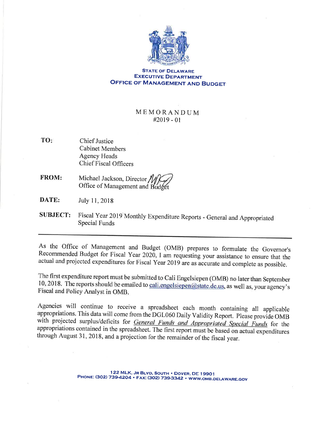

## **STATE OF DELAWARE EXECUTIVE DEPARTMENT OFFICE OF MANAGEMENT AND BUDGET**

## MEMORANDUM  $#2019 - 01$

- TO: **Chief Justice Cabinet Members Agency Heads Chief Fiscal Officers**
- Michael Jackson, Director **FROM:** Office of Management and Budge
- DATE: July 11, 2018
- **SUBJECT:** Fiscal Year 2019 Monthly Expenditure Reports - General and Appropriated **Special Funds**

As the Office of Management and Budget (OMB) prepares to formulate the Governor's Recommended Budget for Fiscal Year 2020, I am requesting your assistance to ensure that the actual and projected expenditures for Fiscal Year 2019 are as accurate and complete as possible.

The first expenditure report must be submitted to Cali Engelsiepen (OMB) no later than September 10, 2018. The reports should be emailed to cali.engelsiepen@state.de.us, as well as, your agency's Fiscal and Policy Analyst in OMB.

Agencies will continue to receive a spreadsheet each month containing all applicable appropriations. This data will come from the DGL060 Daily Validity Report. Please provide OMB with projected surplus/deficits for General Funds and Appropriated Special Funds for the appropriations contained in the spreadsheet. The first report must be based on actual expenditures through August 31, 2018, and a projection for the remainder of the fiscal year.

> 122 MLK, JR BLVD, SOUTH . DOVER, DE 19901 PHONE: (302) 739-4204 · FAX: (302) 739-3342 · WWW.OMB.DELAWARE.GOV